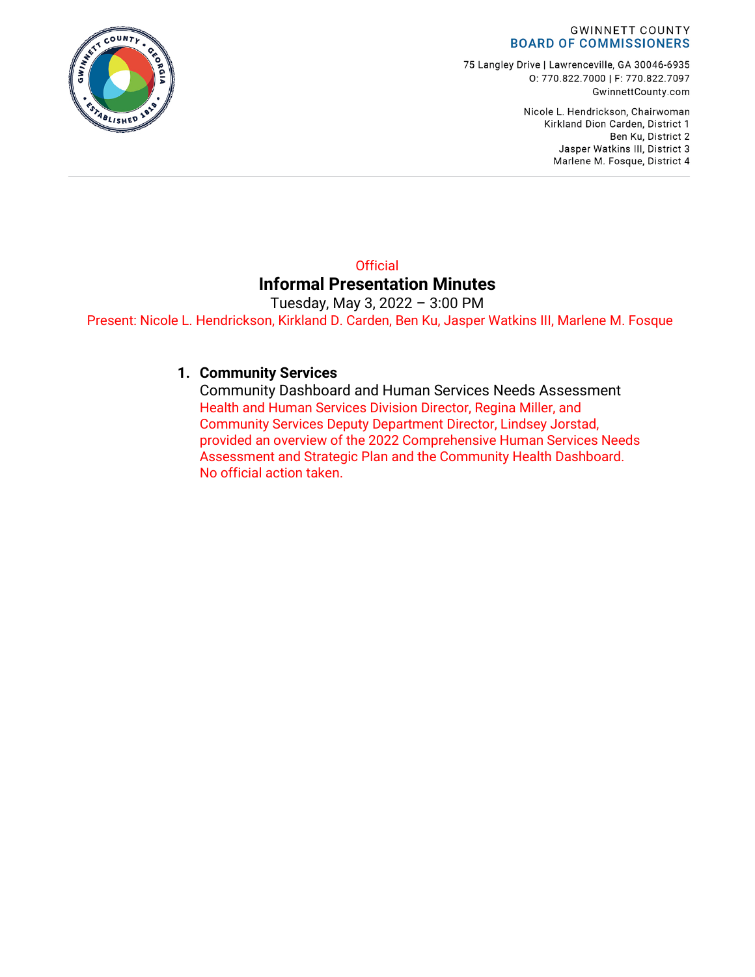#### **GWINNETT COUNTY BOARD OF COMMISSIONERS**

75 Langley Drive | Lawrenceville, GA 30046-6935 0: 770.822.7000 | F: 770.822.7097 GwinnettCounty.com

> Nicole L. Hendrickson, Chairwoman Kirkland Dion Carden, District 1 Ben Ku, District 2 Jasper Watkins III, District 3 Marlene M. Fosque, District 4

#### **Official Informal Presentation Minutes**

Tuesday, May 3, 2022 – 3:00 PM Present: Nicole L. Hendrickson, Kirkland D. Carden, Ben Ku, Jasper Watkins III, Marlene M. Fosque

#### **1. Community Services**

Community Dashboard and Human Services Needs Assessment Health and Human Services Division Director, Regina Miller, and Community Services Deputy Department Director, Lindsey Jorstad, provided an overview of the 2022 Comprehensive Human Services Needs Assessment and Strategic Plan and the Community Health Dashboard. No official action taken.

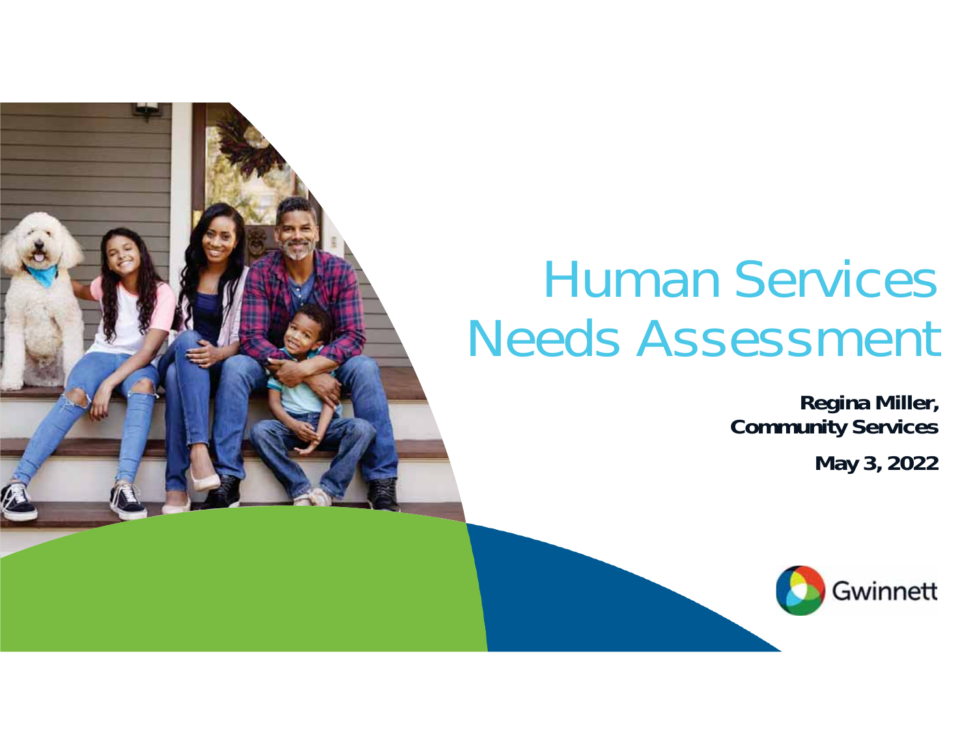# Human Services Needs Assessment

### **Regina Miller, Community Services**

**May 3, 2022**

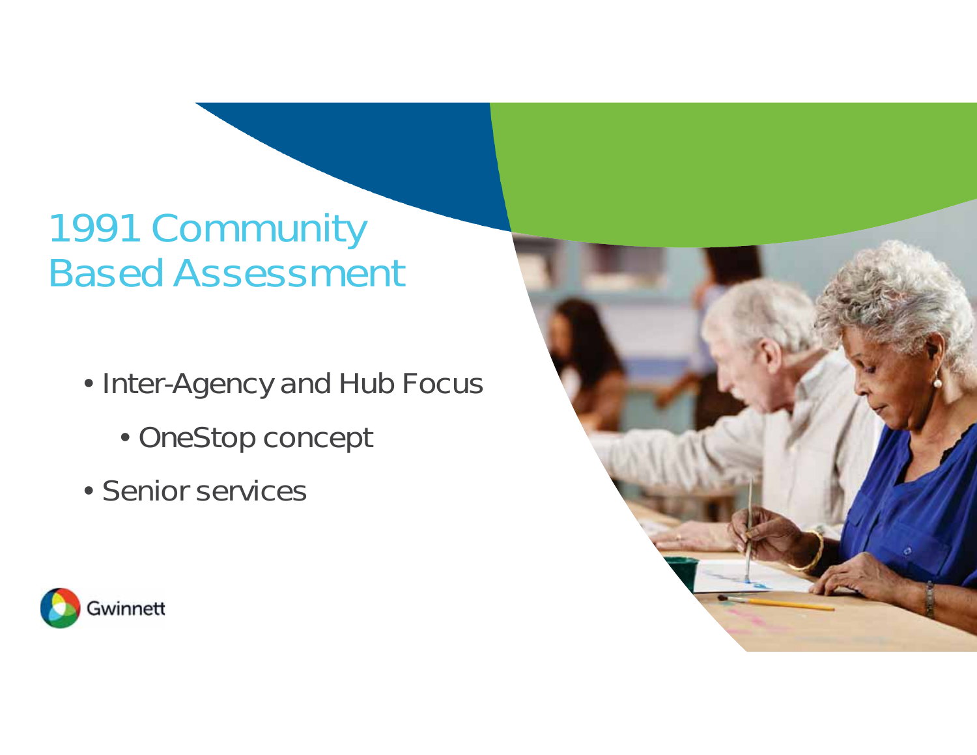## 1991 Community Based Assessment

- Inter-Agency and Hub Focus
	- OneStop concept
- Senior services



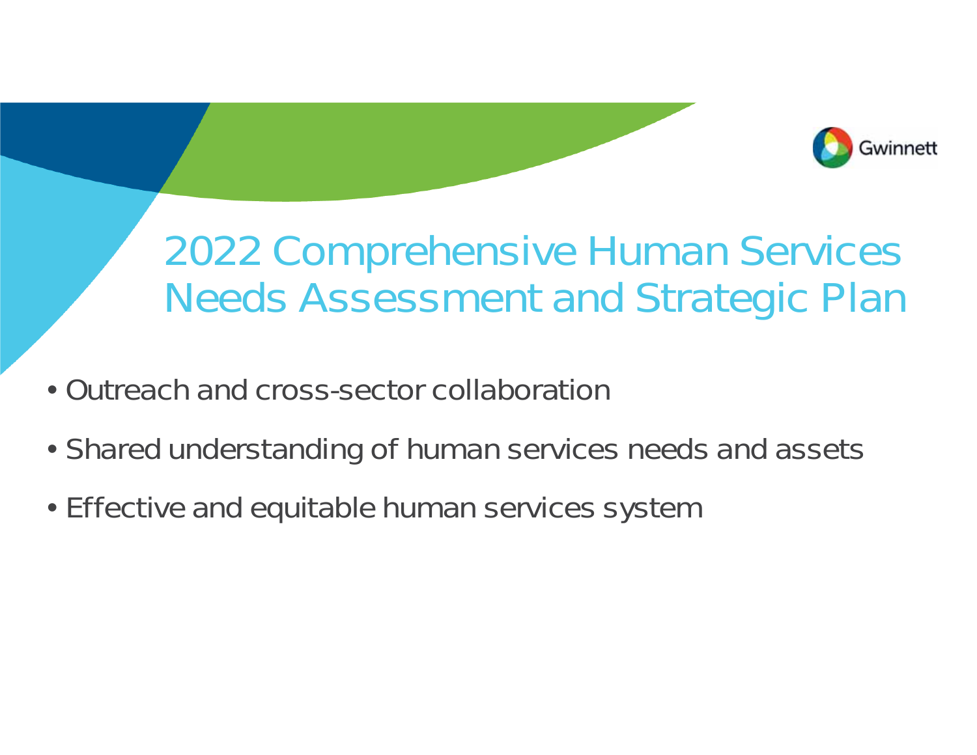

## 2022 Comprehensive Human Services Needs Assessment and Strategic Plan

- Outreach and cross-sector collaboration
- Shared understanding of human services needs and assets
- Effective and equitable human services system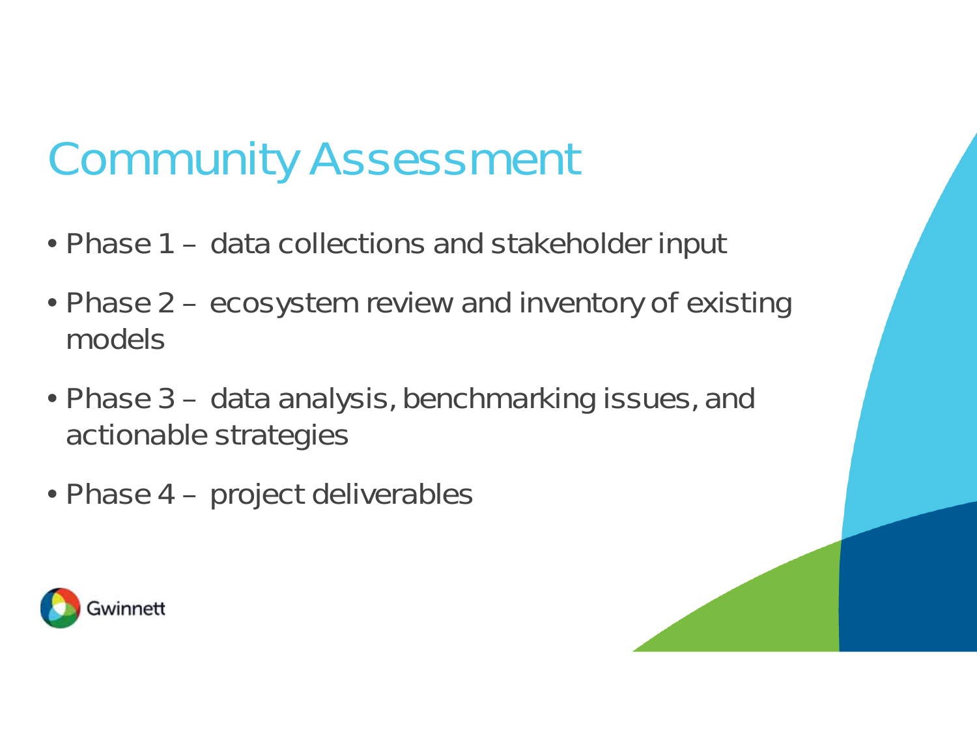## Community Assessment

- Phase 1 data collections and stakeholder input
- Phase 2 ecosystem review and inventory of existing models
- Phase 3 data analysis, benchmarking issues, and actionable strategies
- Phase 4 project deliverables

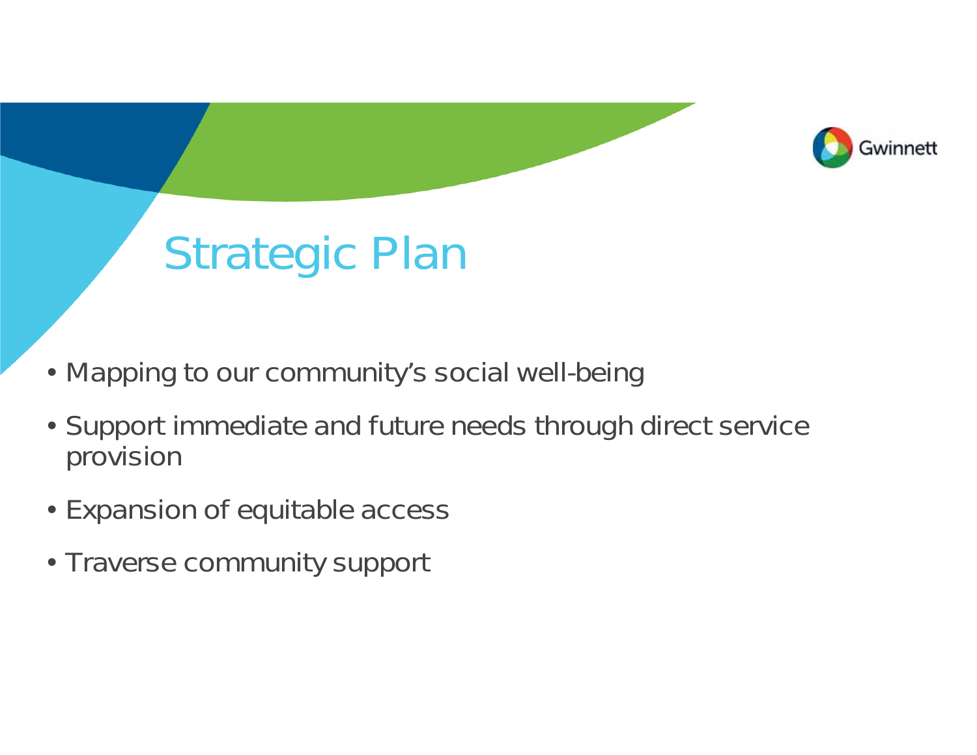

## Strategic Plan

- Mapping to our community's social well-being
- Support immediate and future needs through direct service provision
- Expansion of equitable access
- Traverse community support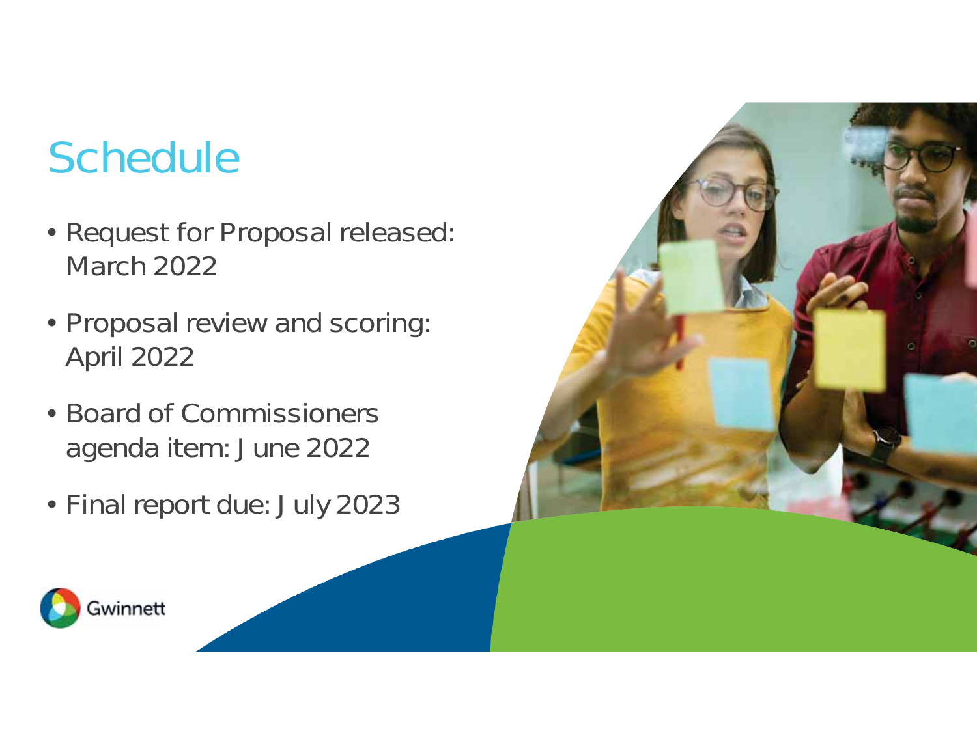## **Schedule**

- Request for Proposal released: March 2022
- Proposal review and scoring: April 2022
- Board of Commissioners agenda item: June 2022
- Final report due: July 2023



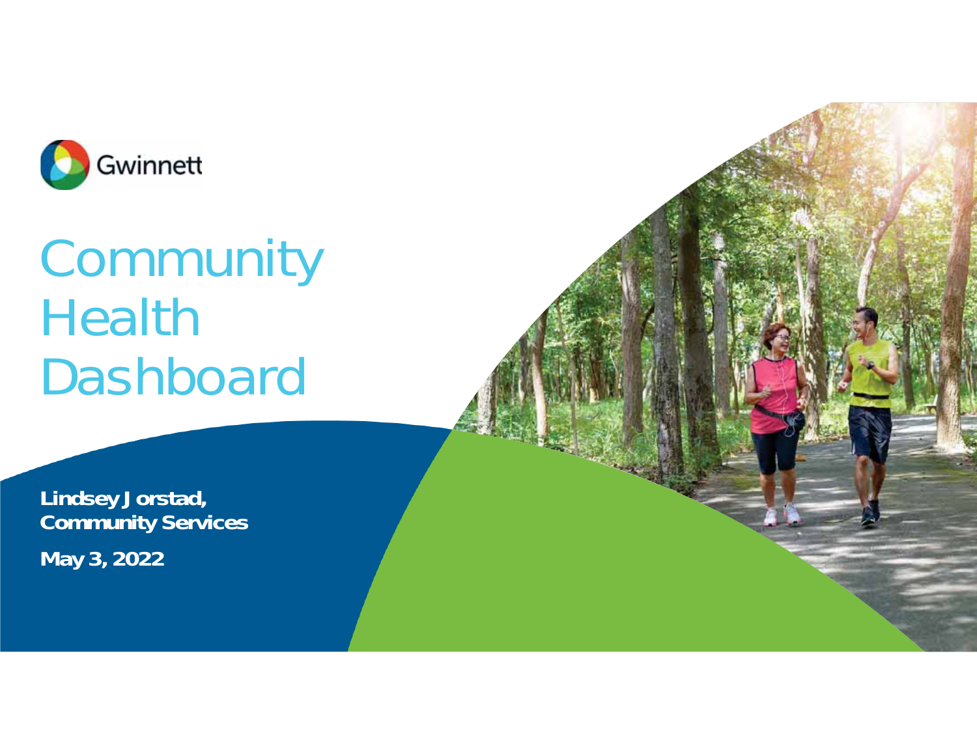

# **Community** Health Dashboard

**Lindsey Jorstad, Community Services May 3, 2022**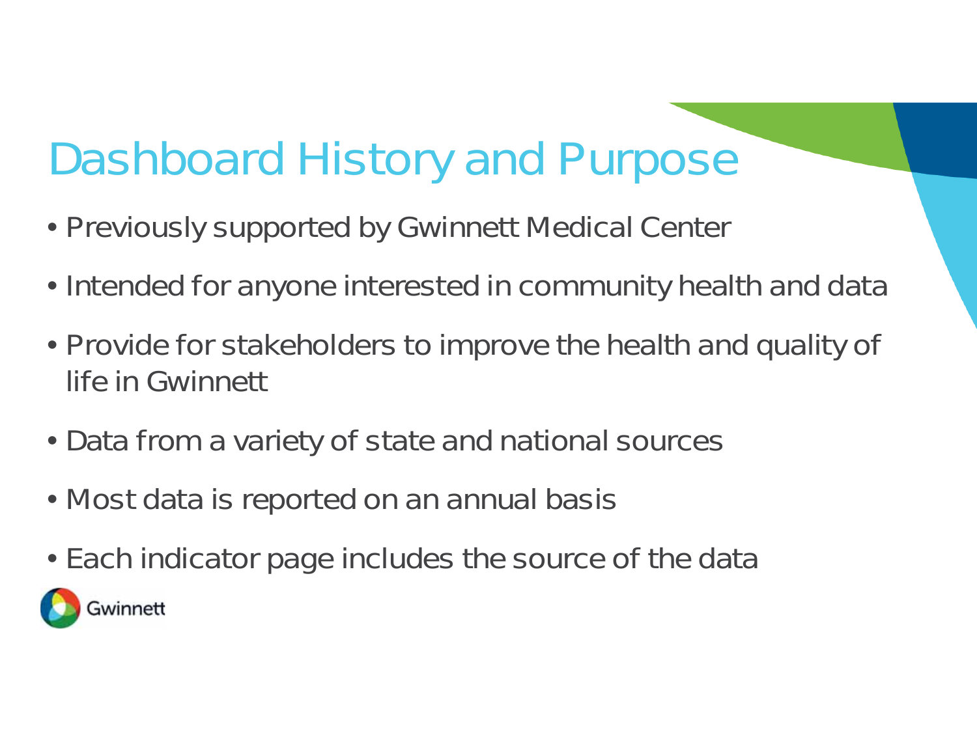## Dashboard History and Purpose

- Previously supported by Gwinnett Medical Center
- Intended for anyone interested in community health and data
- Provide for stakeholders to improve the health and quality of life in Gwinnett
- Data from a variety of state and national sources
- Most data is reported on an annual basis
- Each indicator page includes the source of the data

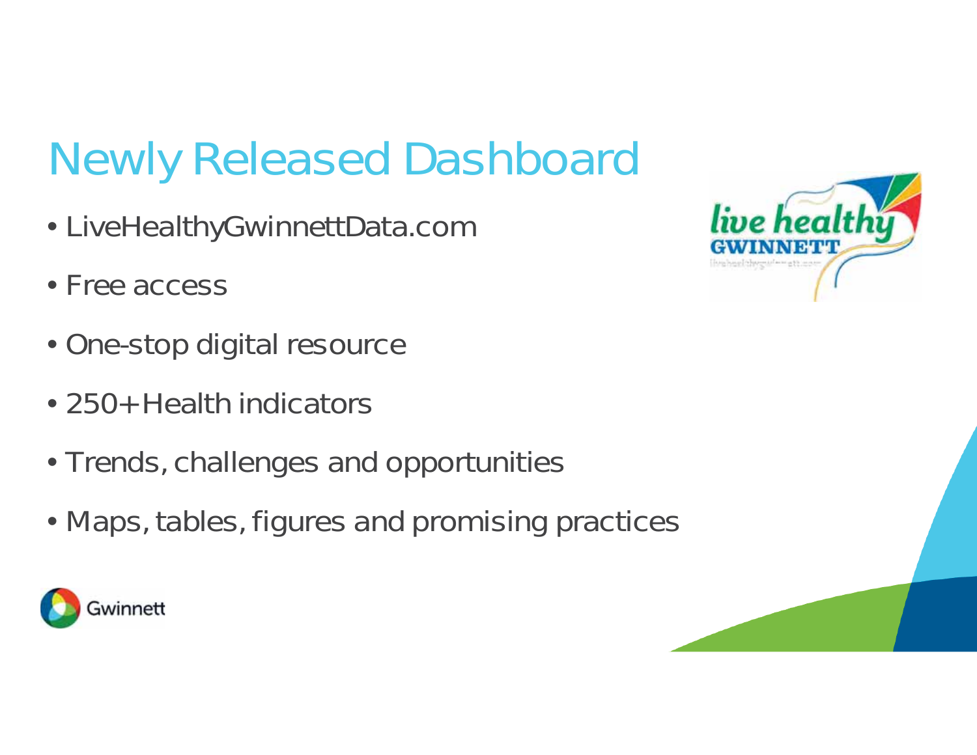## Newly Released Dashboard

- LiveHealthyGwinnettData.com
- Free access
- One-stop digital resource
- 250+ Health indicators
- Trends, challenges and opportunities
- Maps, tables, figures and promising practices



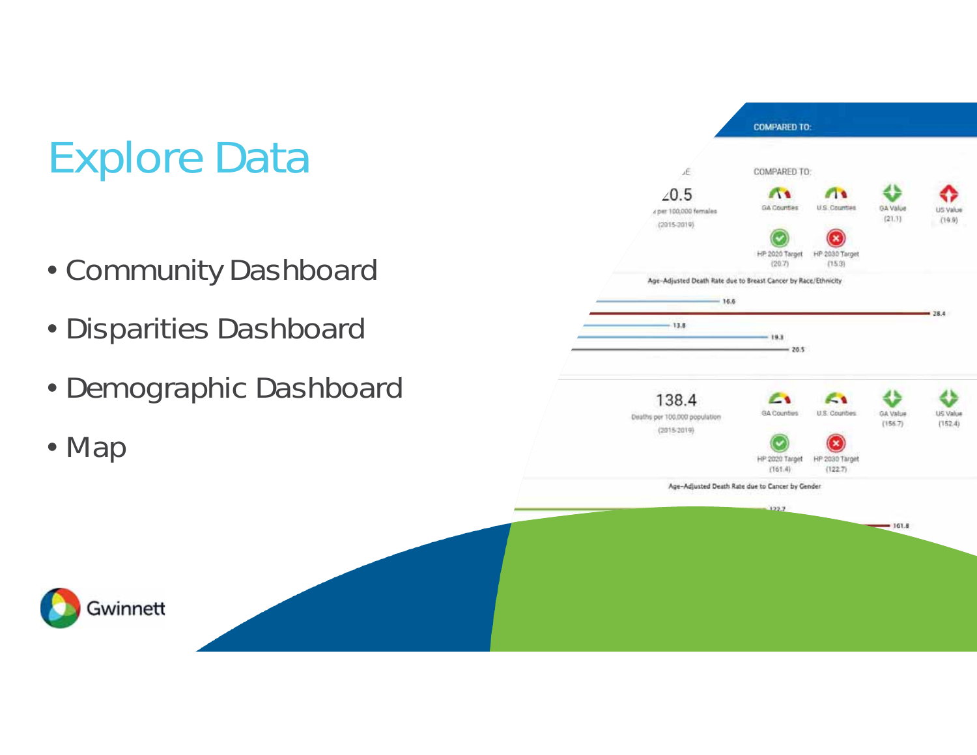## Explore Data

- Community Dashboard
- Disparities Dashboard
- Demographic Dashboard

• Map

Gwinnett

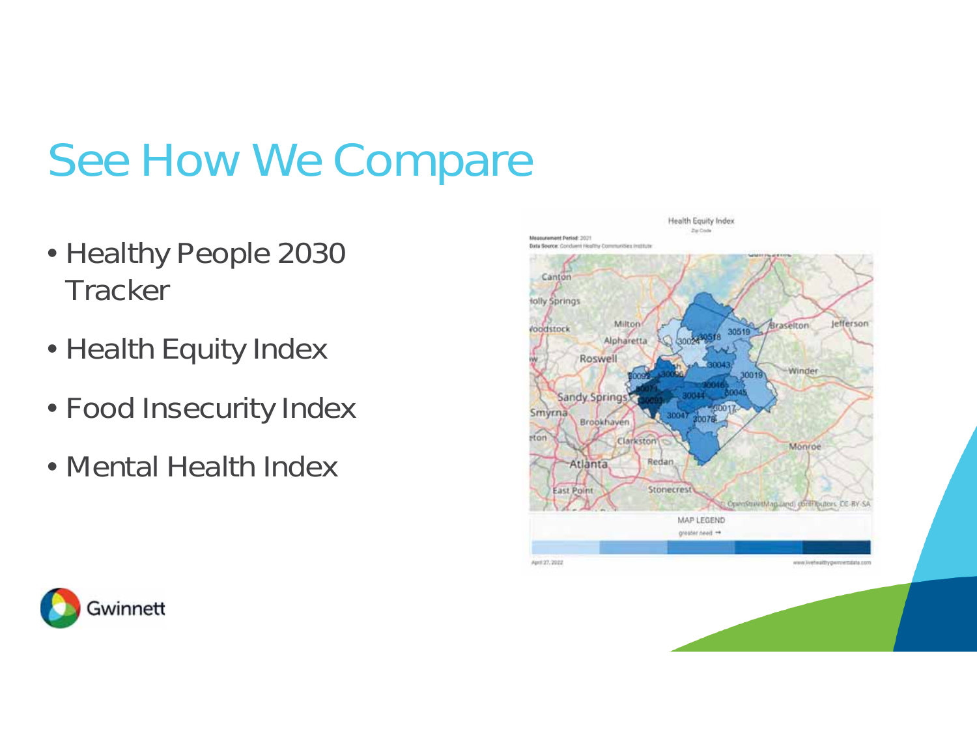## See How We Compare

- Healthy People 2030 **Tracker**
- Health Equity Index
- Food Insecurity Index
- Mental Health Index



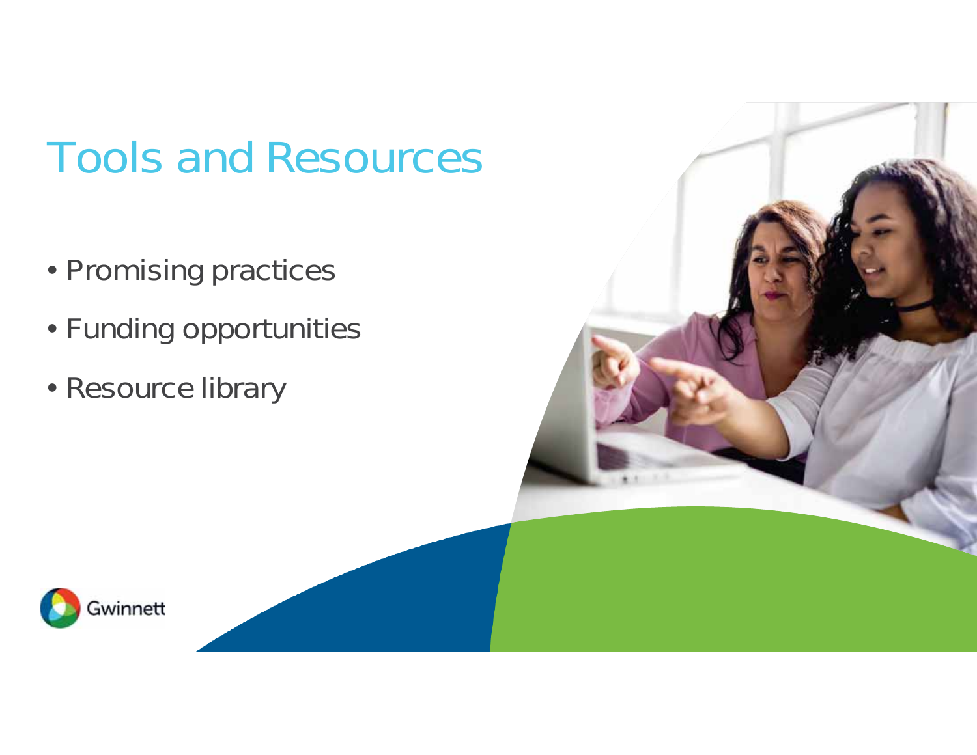## Tools and Resources

- Promising practices
- Funding opportunities
- Resource library